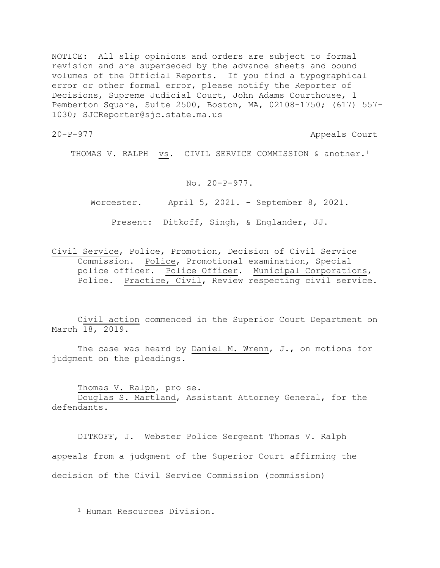NOTICE: All slip opinions and orders are subject to formal revision and are superseded by the advance sheets and bound volumes of the Official Reports. If you find a typographical error or other formal error, please notify the Reporter of Decisions, Supreme Judicial Court, John Adams Courthouse, 1 Pemberton Square, Suite 2500, Boston, MA, 02108-1750; (617) 557- 1030; SJCReporter@sjc.state.ma.us

20-P-977 Appeals Court

THOMAS V. RALPH vs. CIVIL SERVICE COMMISSION & another.<sup>1</sup>

## No. 20-P-977.

Worcester. April 5, 2021. - September 8, 2021.

Present: Ditkoff, Singh, & Englander, JJ.

Civil Service, Police, Promotion, Decision of Civil Service Commission. Police, Promotional examination, Special police officer. Police Officer. Municipal Corporations, Police. Practice, Civil, Review respecting civil service.

Civil action commenced in the Superior Court Department on March 18, 2019.

The case was heard by Daniel M. Wrenn, J., on motions for judgment on the pleadings.

Thomas V. Ralph, pro se.

Douglas S. Martland, Assistant Attorney General, for the defendants.

DITKOFF, J. Webster Police Sergeant Thomas V. Ralph appeals from a judgment of the Superior Court affirming the decision of the Civil Service Commission (commission)

<sup>1</sup> Human Resources Division.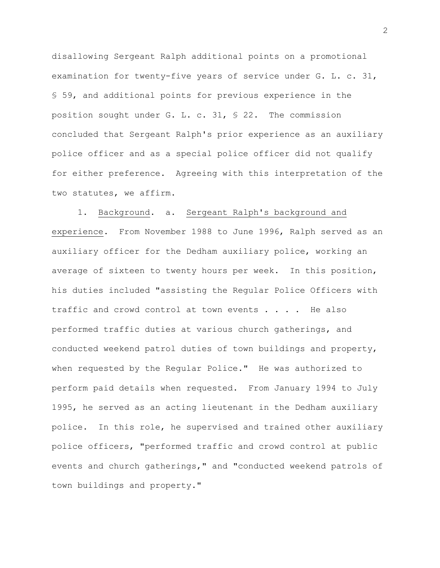disallowing Sergeant Ralph additional points on a promotional examination for twenty-five years of service under G. L. c. 31, § 59, and additional points for previous experience in the position sought under G. L. c. 31, § 22. The commission concluded that Sergeant Ralph's prior experience as an auxiliary police officer and as a special police officer did not qualify for either preference. Agreeing with this interpretation of the two statutes, we affirm.

1. Background. a. Sergeant Ralph's background and experience. From November 1988 to June 1996, Ralph served as an auxiliary officer for the Dedham auxiliary police, working an average of sixteen to twenty hours per week. In this position, his duties included "assisting the Regular Police Officers with traffic and crowd control at town events . . . . He also performed traffic duties at various church gatherings, and conducted weekend patrol duties of town buildings and property, when requested by the Regular Police." He was authorized to perform paid details when requested. From January 1994 to July 1995, he served as an acting lieutenant in the Dedham auxiliary police. In this role, he supervised and trained other auxiliary police officers, "performed traffic and crowd control at public events and church gatherings," and "conducted weekend patrols of town buildings and property."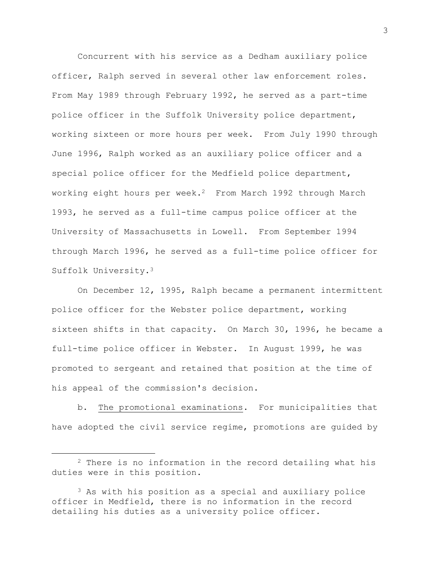Concurrent with his service as a Dedham auxiliary police officer, Ralph served in several other law enforcement roles. From May 1989 through February 1992, he served as a part-time police officer in the Suffolk University police department, working sixteen or more hours per week. From July 1990 through June 1996, Ralph worked as an auxiliary police officer and a special police officer for the Medfield police department, working eight hours per week.<sup>2</sup> From March 1992 through March 1993, he served as a full-time campus police officer at the University of Massachusetts in Lowell. From September 1994 through March 1996, he served as a full-time police officer for Suffolk University.<sup>3</sup>

On December 12, 1995, Ralph became a permanent intermittent police officer for the Webster police department, working sixteen shifts in that capacity. On March 30, 1996, he became a full-time police officer in Webster. In August 1999, he was promoted to sergeant and retained that position at the time of his appeal of the commission's decision.

b. The promotional examinations. For municipalities that have adopted the civil service regime, promotions are guided by

<sup>2</sup> There is no information in the record detailing what his duties were in this position.

<sup>3</sup> As with his position as a special and auxiliary police officer in Medfield, there is no information in the record detailing his duties as a university police officer.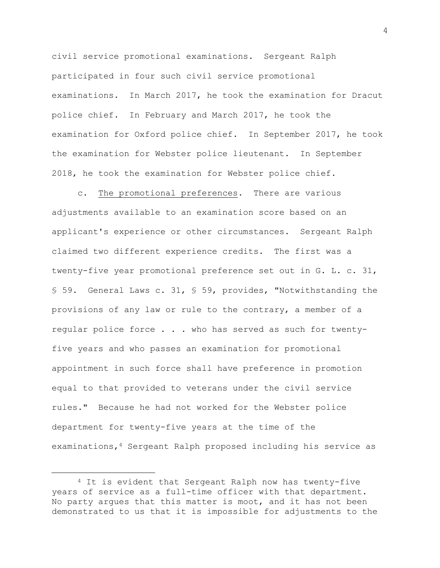civil service promotional examinations. Sergeant Ralph participated in four such civil service promotional examinations. In March 2017, he took the examination for Dracut police chief. In February and March 2017, he took the examination for Oxford police chief. In September 2017, he took the examination for Webster police lieutenant. In September 2018, he took the examination for Webster police chief.

c. The promotional preferences. There are various adjustments available to an examination score based on an applicant's experience or other circumstances. Sergeant Ralph claimed two different experience credits. The first was a twenty-five year promotional preference set out in G. L. c. 31, § 59. General Laws c. 31, § 59, provides, "Notwithstanding the provisions of any law or rule to the contrary, a member of a regular police force . . . who has served as such for twentyfive years and who passes an examination for promotional appointment in such force shall have preference in promotion equal to that provided to veterans under the civil service rules." Because he had not worked for the Webster police department for twenty-five years at the time of the examinations,<sup>4</sup> Sergeant Ralph proposed including his service as

<sup>4</sup> It is evident that Sergeant Ralph now has twenty-five years of service as a full-time officer with that department. No party argues that this matter is moot, and it has not been demonstrated to us that it is impossible for adjustments to the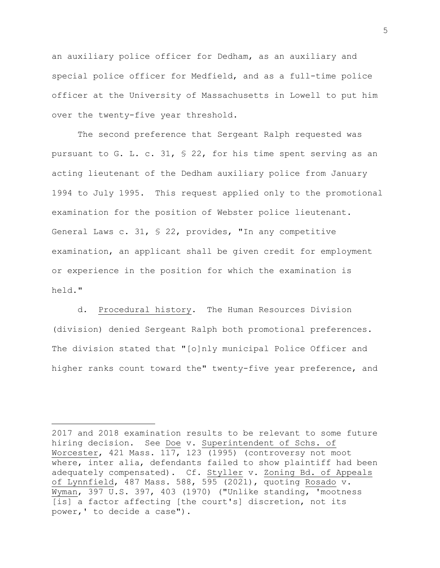an auxiliary police officer for Dedham, as an auxiliary and special police officer for Medfield, and as a full-time police officer at the University of Massachusetts in Lowell to put him over the twenty-five year threshold.

The second preference that Sergeant Ralph requested was pursuant to G. L. c. 31, § 22, for his time spent serving as an acting lieutenant of the Dedham auxiliary police from January 1994 to July 1995. This request applied only to the promotional examination for the position of Webster police lieutenant. General Laws c. 31, § 22, provides, "In any competitive examination, an applicant shall be given credit for employment or experience in the position for which the examination is held."

d. Procedural history. The Human Resources Division (division) denied Sergeant Ralph both promotional preferences. The division stated that "[o]nly municipal Police Officer and higher ranks count toward the" twenty-five year preference, and

2017 and 2018 examination results to be relevant to some future hiring decision. See Doe v. Superintendent of Schs. of Worcester, 421 Mass. 117, 123 (1995) (controversy not moot where, inter alia, defendants failed to show plaintiff had been adequately compensated). Cf. Styller v. Zoning Bd. of Appeals of Lynnfield, 487 Mass. 588, 595 (2021), quoting Rosado v. Wyman, 397 U.S. 397, 403 (1970) ("Unlike standing, 'mootness [is] a factor affecting [the court's] discretion, not its power,' to decide a case").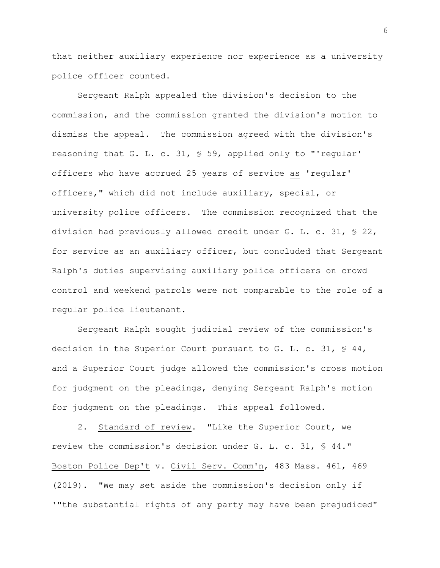that neither auxiliary experience nor experience as a university police officer counted.

Sergeant Ralph appealed the division's decision to the commission, and the commission granted the division's motion to dismiss the appeal. The commission agreed with the division's reasoning that G. L. c. 31, § 59, applied only to "'regular' officers who have accrued 25 years of service as 'regular' officers," which did not include auxiliary, special, or university police officers. The commission recognized that the division had previously allowed credit under G. L. c. 31, § 22, for service as an auxiliary officer, but concluded that Sergeant Ralph's duties supervising auxiliary police officers on crowd control and weekend patrols were not comparable to the role of a regular police lieutenant.

Sergeant Ralph sought judicial review of the commission's decision in the Superior Court pursuant to G. L. c. 31, § 44, and a Superior Court judge allowed the commission's cross motion for judgment on the pleadings, denying Sergeant Ralph's motion for judgment on the pleadings. This appeal followed.

2. Standard of review. "Like the Superior Court, we review the commission's decision under G. L. c. 31, § 44." Boston Police Dep't v. Civil Serv. Comm'n, 483 Mass. 461, 469 (2019). "We may set aside the commission's decision only if '"the substantial rights of any party may have been prejudiced"

6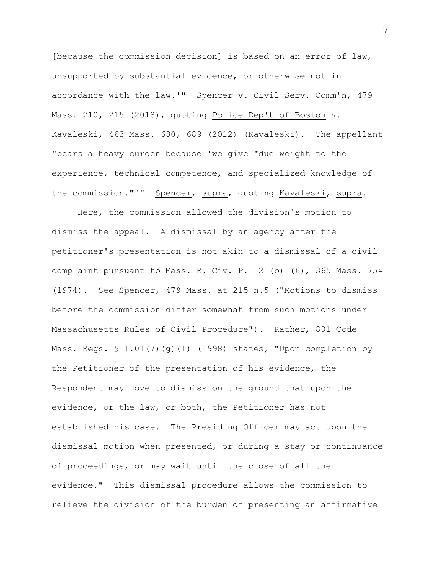[because the commission decision] is based on an error of law, unsupported by substantial evidence, or otherwise not in accordance with the law.'" Spencer v. Civil Serv. Comm'n, 479 Mass. 210, 215 (2018), quoting Police Dep't of Boston v. Kavaleski, 463 Mass. 680, 689 (2012) (Kavaleski). The appellant "bears a heavy burden because 'we give "due weight to the experience, technical competence, and specialized knowledge of the commission."'" Spencer, supra, quoting Kavaleski, supra.

Here, the commission allowed the division's motion to dismiss the appeal. A dismissal by an agency after the petitioner's presentation is not akin to a dismissal of a civil complaint pursuant to Mass. R. Civ. P. 12 (b) (6), 365 Mass. 754 (1974). See Spencer, 479 Mass. at 215 n.5 ("Motions to dismiss before the commission differ somewhat from such motions under Massachusetts Rules of Civil Procedure"). Rather, 801 Code Mass. Regs. § 1.01(7)(g)(1) (1998) states, "Upon completion by the Petitioner of the presentation of his evidence, the Respondent may move to dismiss on the ground that upon the evidence, or the law, or both, the Petitioner has not established his case. The Presiding Officer may act upon the dismissal motion when presented, or during a stay or continuance of proceedings, or may wait until the close of all the evidence." This dismissal procedure allows the commission to relieve the division of the burden of presenting an affirmative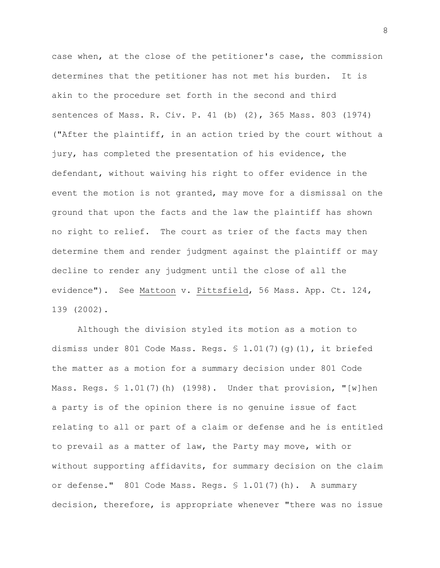case when, at the close of the petitioner's case, the commission determines that the petitioner has not met his burden. It is akin to the procedure set forth in the second and third sentences of Mass. R. Civ. P. 41 (b) (2), 365 Mass. 803 (1974) ("After the plaintiff, in an action tried by the court without a jury, has completed the presentation of his evidence, the defendant, without waiving his right to offer evidence in the event the motion is not granted, may move for a dismissal on the ground that upon the facts and the law the plaintiff has shown no right to relief. The court as trier of the facts may then determine them and render judgment against the plaintiff or may decline to render any judgment until the close of all the evidence"). See Mattoon v. Pittsfield, 56 Mass. App. Ct. 124, 139 (2002).

Although the division styled its motion as a motion to dismiss under 801 Code Mass. Regs. § 1.01(7)(g)(1), it briefed the matter as a motion for a summary decision under 801 Code Mass. Regs. § 1.01(7)(h) (1998). Under that provision, "[w]hen a party is of the opinion there is no genuine issue of fact relating to all or part of a claim or defense and he is entitled to prevail as a matter of law, the Party may move, with or without supporting affidavits, for summary decision on the claim or defense." 801 Code Mass. Regs. § 1.01(7)(h). A summary decision, therefore, is appropriate whenever "there was no issue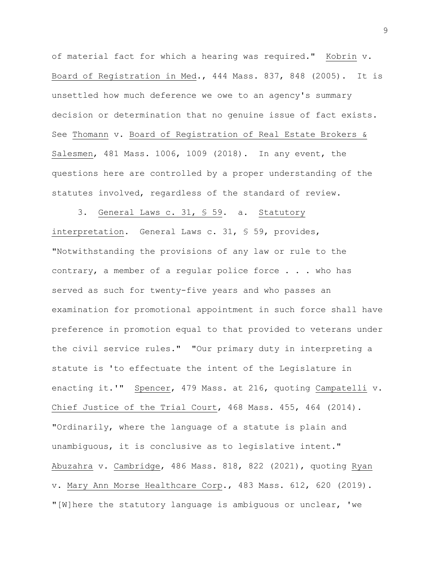of material fact for which a hearing was required." Kobrin v. Board of Registration in Med., 444 Mass. 837, 848 (2005). It is unsettled how much deference we owe to an agency's summary decision or determination that no genuine issue of fact exists. See Thomann v. Board of Registration of Real Estate Brokers & Salesmen, 481 Mass. 1006, 1009 (2018). In any event, the questions here are controlled by a proper understanding of the statutes involved, regardless of the standard of review.

3. General Laws c. 31, § 59. a. Statutory interpretation. General Laws c. 31, § 59, provides, "Notwithstanding the provisions of any law or rule to the contrary, a member of a regular police force . . . who has served as such for twenty-five years and who passes an examination for promotional appointment in such force shall have preference in promotion equal to that provided to veterans under the civil service rules." "Our primary duty in interpreting a statute is 'to effectuate the intent of the Legislature in enacting it.'" Spencer, 479 Mass. at 216, quoting Campatelli v. Chief Justice of the Trial Court, 468 Mass. 455, 464 (2014). "Ordinarily, where the language of a statute is plain and unambiguous, it is conclusive as to legislative intent." Abuzahra v. Cambridge, 486 Mass. 818, 822 (2021), quoting Ryan v. Mary Ann Morse Healthcare Corp., 483 Mass. 612, 620 (2019). "[W]here the statutory language is ambiguous or unclear, 'we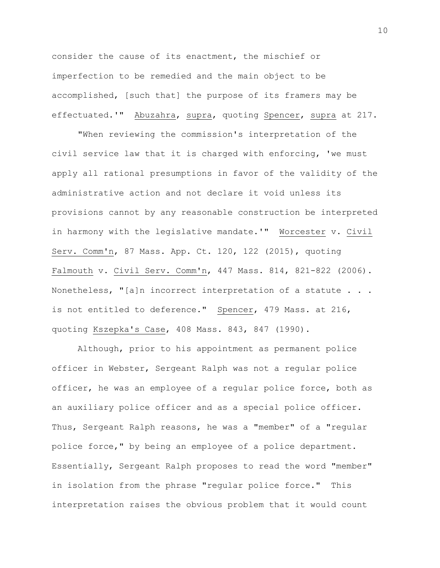consider the cause of its enactment, the mischief or imperfection to be remedied and the main object to be accomplished, [such that] the purpose of its framers may be effectuated.'" Abuzahra, supra, quoting Spencer, supra at 217.

"When reviewing the commission's interpretation of the civil service law that it is charged with enforcing, 'we must apply all rational presumptions in favor of the validity of the administrative action and not declare it void unless its provisions cannot by any reasonable construction be interpreted in harmony with the legislative mandate.'" Worcester v. Civil Serv. Comm'n, 87 Mass. App. Ct. 120, 122 (2015), quoting Falmouth v. Civil Serv. Comm'n, 447 Mass. 814, 821-822 (2006). Nonetheless, "[a]n incorrect interpretation of a statute . . . is not entitled to deference." Spencer, 479 Mass. at 216, quoting Kszepka's Case, 408 Mass. 843, 847 (1990).

Although, prior to his appointment as permanent police officer in Webster, Sergeant Ralph was not a regular police officer, he was an employee of a regular police force, both as an auxiliary police officer and as a special police officer. Thus, Sergeant Ralph reasons, he was a "member" of a "regular police force," by being an employee of a police department. Essentially, Sergeant Ralph proposes to read the word "member" in isolation from the phrase "regular police force." This interpretation raises the obvious problem that it would count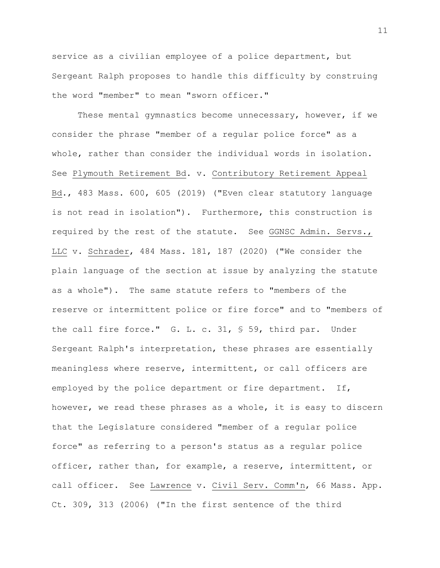service as a civilian employee of a police department, but Sergeant Ralph proposes to handle this difficulty by construing the word "member" to mean "sworn officer."

These mental gymnastics become unnecessary, however, if we consider the phrase "member of a regular police force" as a whole, rather than consider the individual words in isolation. See Plymouth Retirement Bd. v. Contributory Retirement Appeal Bd., 483 Mass. 600, 605 (2019) ("Even clear statutory language is not read in isolation"). Furthermore, this construction is required by the rest of the statute. See GGNSC Admin. Servs., LLC v. Schrader, 484 Mass. 181, 187 (2020) ("We consider the plain language of the section at issue by analyzing the statute as a whole"). The same statute refers to "members of the reserve or intermittent police or fire force" and to "members of the call fire force." G. L. c. 31, § 59, third par. Under Sergeant Ralph's interpretation, these phrases are essentially meaningless where reserve, intermittent, or call officers are employed by the police department or fire department. If, however, we read these phrases as a whole, it is easy to discern that the Legislature considered "member of a regular police force" as referring to a person's status as a regular police officer, rather than, for example, a reserve, intermittent, or call officer. See Lawrence v. Civil Serv. Comm'n, 66 Mass. App. Ct. 309, 313 (2006) ("In the first sentence of the third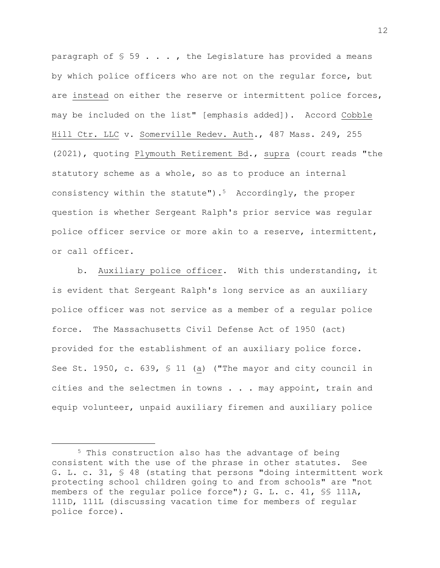paragraph of  $\S$  59  $\ldots$ , the Legislature has provided a means by which police officers who are not on the regular force, but are instead on either the reserve or intermittent police forces, may be included on the list" [emphasis added]). Accord Cobble Hill Ctr. LLC v. Somerville Redev. Auth., 487 Mass. 249, 255 (2021), quoting Plymouth Retirement Bd., supra (court reads "the statutory scheme as a whole, so as to produce an internal consistency within the statute").5 Accordingly, the proper question is whether Sergeant Ralph's prior service was regular police officer service or more akin to a reserve, intermittent, or call officer.

b. Auxiliary police officer. With this understanding, it is evident that Sergeant Ralph's long service as an auxiliary police officer was not service as a member of a regular police force. The Massachusetts Civil Defense Act of 1950 (act) provided for the establishment of an auxiliary police force. See St. 1950, c. 639, § 11 (a) ("The mayor and city council in cities and the selectmen in towns . . . may appoint, train and equip volunteer, unpaid auxiliary firemen and auxiliary police

<sup>5</sup> This construction also has the advantage of being consistent with the use of the phrase in other statutes. See G. L. c. 31, § 48 (stating that persons "doing intermittent work protecting school children going to and from schools" are "not members of the regular police force"); G. L. c. 41, §§ 111A, 111D, 111L (discussing vacation time for members of regular police force).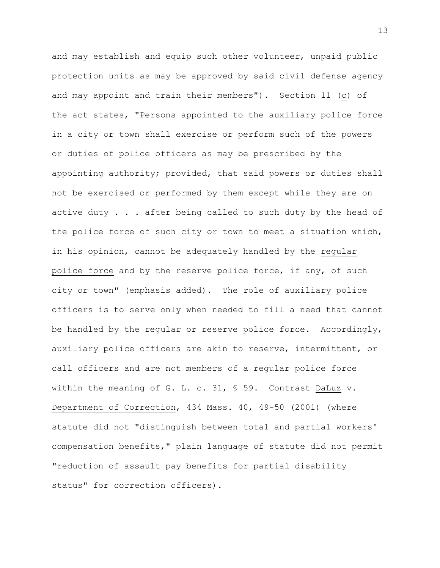and may establish and equip such other volunteer, unpaid public protection units as may be approved by said civil defense agency and may appoint and train their members"). Section 11 (c) of the act states, "Persons appointed to the auxiliary police force in a city or town shall exercise or perform such of the powers or duties of police officers as may be prescribed by the appointing authority; provided, that said powers or duties shall not be exercised or performed by them except while they are on active duty . . . after being called to such duty by the head of the police force of such city or town to meet a situation which, in his opinion, cannot be adequately handled by the regular police force and by the reserve police force, if any, of such city or town" (emphasis added). The role of auxiliary police officers is to serve only when needed to fill a need that cannot be handled by the regular or reserve police force. Accordingly, auxiliary police officers are akin to reserve, intermittent, or call officers and are not members of a regular police force within the meaning of G. L. c. 31, § 59. Contrast DaLuz v. Department of Correction, 434 Mass. 40, 49-50 (2001) (where statute did not "distinguish between total and partial workers' compensation benefits," plain language of statute did not permit "reduction of assault pay benefits for partial disability status" for correction officers).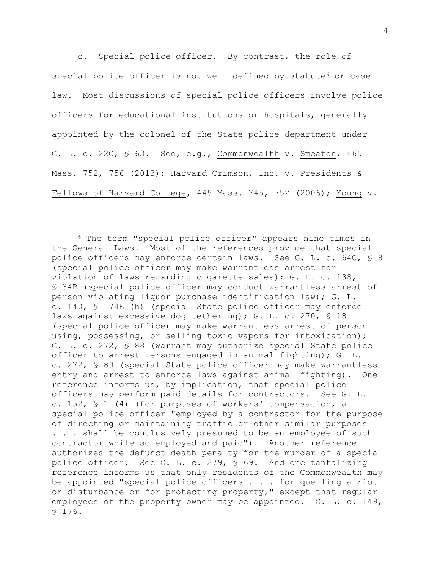c. Special police officer. By contrast, the role of special police officer is not well defined by statute<sup>6</sup> or case law. Most discussions of special police officers involve police officers for educational institutions or hospitals, generally appointed by the colonel of the State police department under G. L. c. 22C, § 63. See, e.g., Commonwealth v. Smeaton, 465 Mass. 752, 756 (2013); Harvard Crimson, Inc. v. Presidents & Fellows of Harvard College, 445 Mass. 745, 752 (2006); Young v.

<sup>6</sup> The term "special police officer" appears nine times in the General Laws. Most of the references provide that special police officers may enforce certain laws. See G. L. c. 64C, § 8 (special police officer may make warrantless arrest for violation of laws regarding cigarette sales); G. L. c. 138, § 34B (special police officer may conduct warrantless arrest of person violating liquor purchase identification law); G. L. c. 140, § 174E (h) (special State police officer may enforce laws against excessive dog tethering); G. L. c. 270, § 18 (special police officer may make warrantless arrest of person using, possessing, or selling toxic vapors for intoxication); G. L. c. 272, § 88 (warrant may authorize special State police officer to arrest persons engaged in animal fighting); G. L. c. 272, § 89 (special State police officer may make warrantless entry and arrest to enforce laws against animal fighting). One reference informs us, by implication, that special police officers may perform paid details for contractors. See G. L. c. 152, § 1 (4) (for purposes of workers' compensation, a special police officer "employed by a contractor for the purpose of directing or maintaining traffic or other similar purposes . . . shall be conclusively presumed to be an employee of such contractor while so employed and paid"). Another reference authorizes the defunct death penalty for the murder of a special police officer. See G. L. c. 279, § 69. And one tantalizing reference informs us that only residents of the Commonwealth may be appointed "special police officers . . . for quelling a riot or disturbance or for protecting property," except that regular employees of the property owner may be appointed. G. L. c. 149, § 176.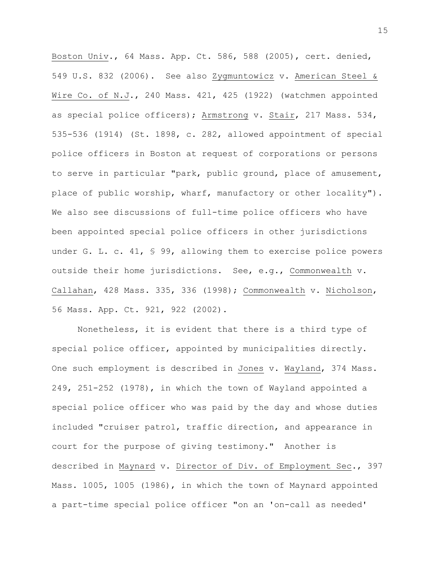Boston Univ., 64 Mass. App. Ct. 586, 588 (2005), cert. denied, 549 U.S. 832 (2006). See also Zygmuntowicz v. American Steel & Wire Co. of N.J., 240 Mass. 421, 425 (1922) (watchmen appointed as special police officers); Armstrong v. Stair, 217 Mass. 534, 535-536 (1914) (St. 1898, c. 282, allowed appointment of special police officers in Boston at request of corporations or persons to serve in particular "park, public ground, place of amusement, place of public worship, wharf, manufactory or other locality"). We also see discussions of full-time police officers who have been appointed special police officers in other jurisdictions under G. L. c. 41, § 99, allowing them to exercise police powers outside their home jurisdictions. See, e.g., Commonwealth v. Callahan, 428 Mass. 335, 336 (1998); Commonwealth v. Nicholson, 56 Mass. App. Ct. 921, 922 (2002).

Nonetheless, it is evident that there is a third type of special police officer, appointed by municipalities directly. One such employment is described in Jones v. Wayland, 374 Mass. 249, 251-252 (1978), in which the town of Wayland appointed a special police officer who was paid by the day and whose duties included "cruiser patrol, traffic direction, and appearance in court for the purpose of giving testimony." Another is described in Maynard v. Director of Div. of Employment Sec., 397 Mass. 1005, 1005 (1986), in which the town of Maynard appointed a part-time special police officer "on an 'on-call as needed'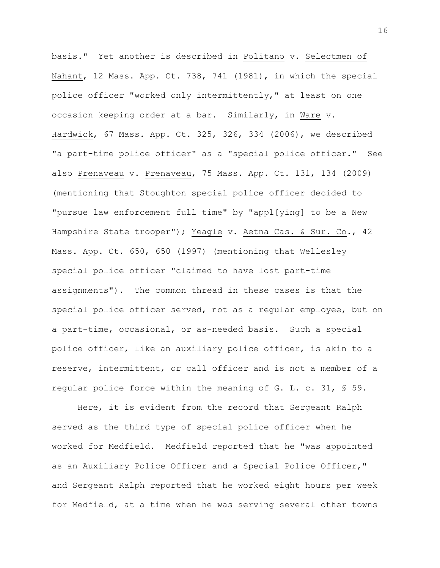basis." Yet another is described in Politano v. Selectmen of Nahant, 12 Mass. App. Ct. 738, 741 (1981), in which the special police officer "worked only intermittently," at least on one occasion keeping order at a bar. Similarly, in Ware v. Hardwick, 67 Mass. App. Ct. 325, 326, 334 (2006), we described "a part-time police officer" as a "special police officer." See also Prenaveau v. Prenaveau, 75 Mass. App. Ct. 131, 134 (2009) (mentioning that Stoughton special police officer decided to "pursue law enforcement full time" by "appl[ying] to be a New Hampshire State trooper"); Yeagle v. Aetna Cas. & Sur. Co., 42 Mass. App. Ct. 650, 650 (1997) (mentioning that Wellesley special police officer "claimed to have lost part-time assignments"). The common thread in these cases is that the special police officer served, not as a regular employee, but on a part-time, occasional, or as-needed basis. Such a special police officer, like an auxiliary police officer, is akin to a reserve, intermittent, or call officer and is not a member of a regular police force within the meaning of G. L. c. 31, § 59.

Here, it is evident from the record that Sergeant Ralph served as the third type of special police officer when he worked for Medfield. Medfield reported that he "was appointed as an Auxiliary Police Officer and a Special Police Officer," and Sergeant Ralph reported that he worked eight hours per week for Medfield, at a time when he was serving several other towns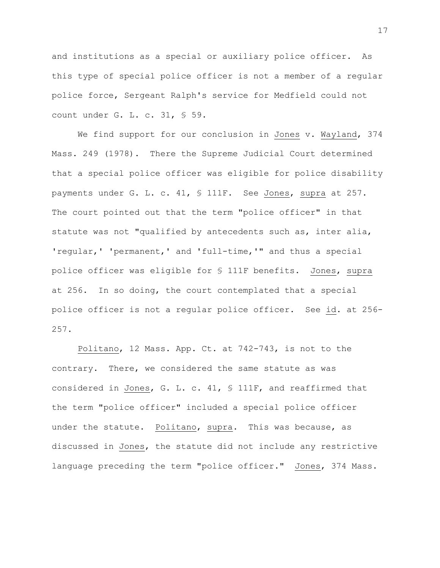and institutions as a special or auxiliary police officer. As this type of special police officer is not a member of a regular police force, Sergeant Ralph's service for Medfield could not count under G. L. c. 31, § 59.

We find support for our conclusion in Jones v. Wayland, 374 Mass. 249 (1978). There the Supreme Judicial Court determined that a special police officer was eligible for police disability payments under G. L. c. 41, § 111F. See Jones, supra at 257. The court pointed out that the term "police officer" in that statute was not "qualified by antecedents such as, inter alia, 'regular,' 'permanent,' and 'full-time,'" and thus a special police officer was eligible for § 111F benefits. Jones, supra at 256. In so doing, the court contemplated that a special police officer is not a regular police officer. See id. at 256- 257.

Politano, 12 Mass. App. Ct. at 742-743, is not to the contrary. There, we considered the same statute as was considered in Jones, G. L. c. 41, § 111F, and reaffirmed that the term "police officer" included a special police officer under the statute. Politano, supra. This was because, as discussed in Jones, the statute did not include any restrictive language preceding the term "police officer." Jones, 374 Mass.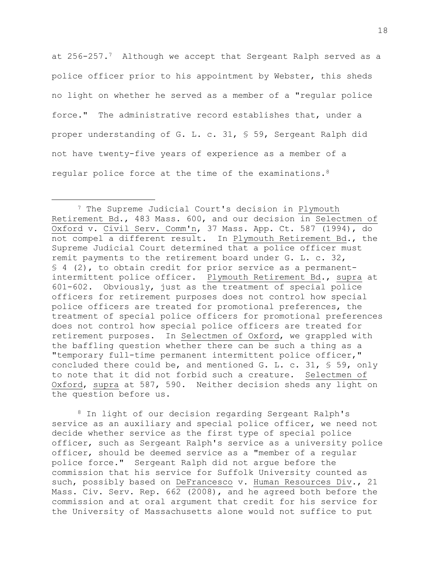at 256-257.7 Although we accept that Sergeant Ralph served as a police officer prior to his appointment by Webster, this sheds no light on whether he served as a member of a "regular police force." The administrative record establishes that, under a proper understanding of G. L. c. 31, § 59, Sergeant Ralph did not have twenty-five years of experience as a member of a regular police force at the time of the examinations.<sup>8</sup>

<sup>8</sup> In light of our decision regarding Sergeant Ralph's service as an auxiliary and special police officer, we need not decide whether service as the first type of special police officer, such as Sergeant Ralph's service as a university police officer, should be deemed service as a "member of a regular police force." Sergeant Ralph did not argue before the commission that his service for Suffolk University counted as such, possibly based on DeFrancesco v. Human Resources Div., 21 Mass. Civ. Serv. Rep. 662 (2008), and he agreed both before the commission and at oral argument that credit for his service for the University of Massachusetts alone would not suffice to put

<sup>7</sup> The Supreme Judicial Court's decision in Plymouth Retirement Bd., 483 Mass. 600, and our decision in Selectmen of Oxford v. Civil Serv. Comm'n, 37 Mass. App. Ct. 587 (1994), do not compel a different result. In Plymouth Retirement Bd., the Supreme Judicial Court determined that a police officer must remit payments to the retirement board under G. L. c. 32, § 4 (2), to obtain credit for prior service as a permanentintermittent police officer. Plymouth Retirement Bd., supra at 601-602. Obviously, just as the treatment of special police officers for retirement purposes does not control how special police officers are treated for promotional preferences, the treatment of special police officers for promotional preferences does not control how special police officers are treated for retirement purposes. In Selectmen of Oxford, we grappled with the baffling question whether there can be such a thing as a "temporary full-time permanent intermittent police officer," concluded there could be, and mentioned G. L. c. 31, § 59, only to note that it did not forbid such a creature. Selectmen of Oxford, supra at 587, 590. Neither decision sheds any light on the question before us.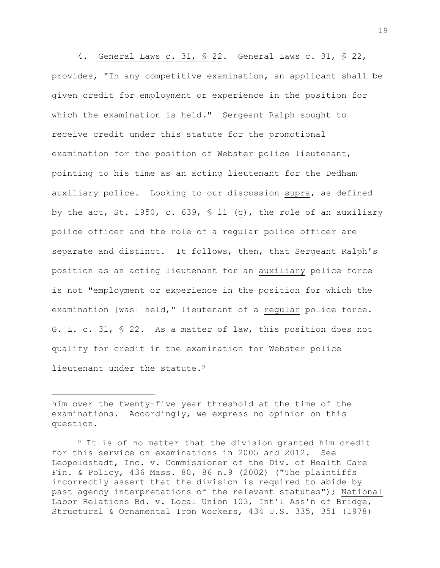4. General Laws c. 31, § 22. General Laws c. 31, § 22, provides, "In any competitive examination, an applicant shall be given credit for employment or experience in the position for which the examination is held." Sergeant Ralph sought to receive credit under this statute for the promotional examination for the position of Webster police lieutenant, pointing to his time as an acting lieutenant for the Dedham auxiliary police. Looking to our discussion supra, as defined by the act, St. 1950, c. 639, § 11 (c), the role of an auxiliary police officer and the role of a regular police officer are separate and distinct. It follows, then, that Sergeant Ralph's position as an acting lieutenant for an auxiliary police force is not "employment or experience in the position for which the examination [was] held," lieutenant of a regular police force. G. L. c. 31, § 22. As a matter of law, this position does not qualify for credit in the examination for Webster police lieutenant under the statute.<sup>9</sup>

him over the twenty-five year threshold at the time of the examinations. Accordingly, we express no opinion on this question.

<sup>&</sup>lt;sup>9</sup> It is of no matter that the division granted him credit for this service on examinations in 2005 and 2012. See Leopoldstadt, Inc. v. Commissioner of the Div. of Health Care Fin. & Policy, 436 Mass. 80, 86 n.9 (2002) ("The plaintiffs incorrectly assert that the division is required to abide by past agency interpretations of the relevant statutes"); National Labor Relations Bd. v. Local Union 103, Int'l Ass'n of Bridge, Structural & Ornamental Iron Workers, 434 U.S. 335, 351 (1978)